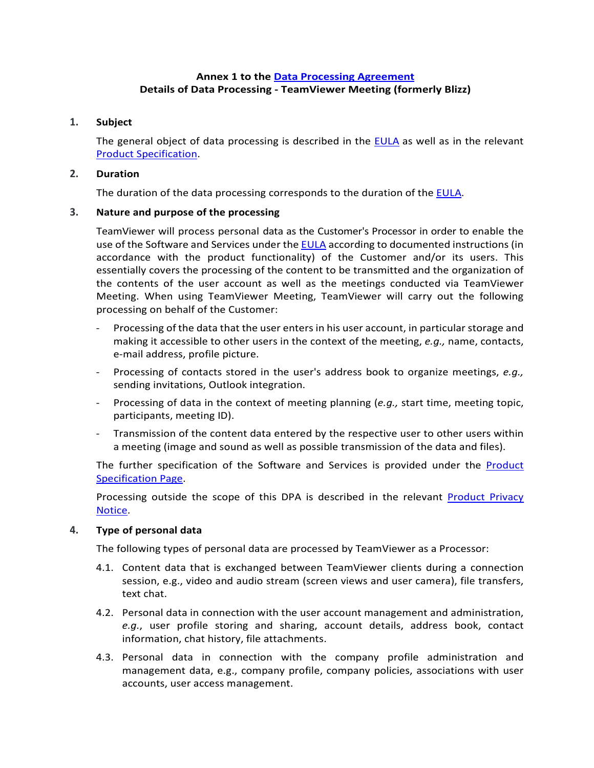# **Annex 1 to the [Data Processing Agreement](https://www.teamviewer.com/en/eula/#dpa) Details of Data Processing - TeamViewer Meeting (formerly Blizz)**

## **1. Subject**

The general object of data processing is described in the [EULA](https://www.teamviewer.com/en/eula/#eula) as well as in the relevant [Product Specification.](https://www.teamviewer.com/en/product-descriptions/)

## **2. Duration**

The duration of the data processing corresponds to the duration of the [EULA.](https://www.teamviewer.com/en/eula/#eula)

# **3. Nature and purpose of the processing**

TeamViewer will process personal data as the Customer's Processor in order to enable the use of the Software and Services under th[e EULA](https://www.teamviewer.com/en/eula/#eula) according to documented instructions (in accordance with the product functionality) of the Customer and/or its users. This essentially covers the processing of the content to be transmitted and the organization of the contents of the user account as well as the meetings conducted via TeamViewer Meeting. When using TeamViewer Meeting, TeamViewer will carry out the following processing on behalf of the Customer:

- Processing of the data that the user enters in his user account, in particular storage and making it accessible to other users in the context of the meeting, *e.g.,* name, contacts, e-mail address, profile picture.
- Processing of contacts stored in the user's address book to organize meetings, *e.g.,* sending invitations, Outlook integration.
- Processing of data in the context of meeting planning (e.g., start time, meeting topic, participants, meeting ID).
- Transmission of the content data entered by the respective user to other users within a meeting (image and sound as well as possible transmission of the data and files).

The further specification of the Software and Services is provided under the [Product](https://www.teamviewer.com/en/product-descriptions/)  [Specification Page.](https://www.teamviewer.com/en/product-descriptions/)

Processing outside the scope of this DPA is described in the relevant [Product Privacy](https://www.teamviewer.com/en/privacy-policy/) [Notice.](https://www.teamviewer.com/en/privacy-policy/)

## **4. Type of personal data**

The following types of personal data are processed by TeamViewer as a Processor:

- 4.1. Content data that is exchanged between TeamViewer clients during a connection session, e.g., video and audio stream (screen views and user camera), file transfers, text chat.
- 4.2. Personal data in connection with the user account management and administration, *e.g.*, user profile storing and sharing, account details, address book, contact information, chat history, file attachments.
- 4.3. Personal data in connection with the company profile administration and management data, e.g., company profile, company policies, associations with user accounts, user access management.